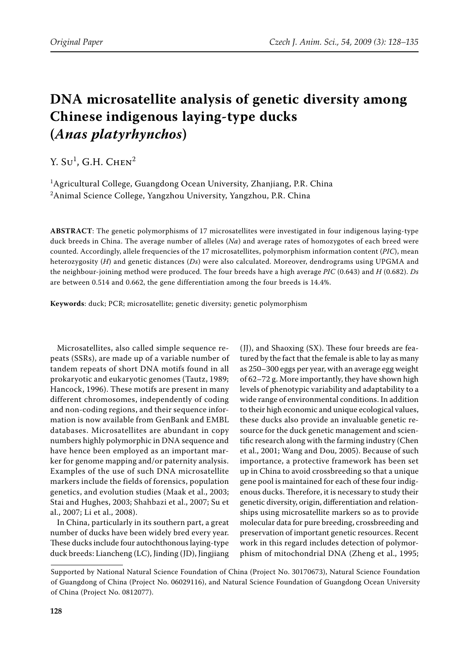# **DNA microsatellite analysis of genetic diversity among Chinese indigenous laying-type ducks (***Anas platyrhynchos***)**

 $Y. S<sup>1</sup>$ , G.H. Chen<sup>2</sup>

 $^1$ Agricultural College, Guangdong Ocean University, Zhanjiang, P.R. China  $^2$ Animal Science College, Yangzhou University, Yangzhou, P.R. China

**ABSTRACT**: The genetic polymorphisms of 17 microsatellites were investigated in four indigenous laying-type duck breeds in China. The average number of alleles (*Na*) and average rates of homozygotes of each breed were counted. Accordingly, allele frequencies of the 17 microsatellites, polymorphism information content (*PIC*), mean heterozygosity (*H*) and genetic distances (*Ds*) were also calculated. Moreover, dendrograms using UPGMA and the neighbour-joining method were produced. The four breeds have a high average *PIC* (0.643) and *H* (0.682). *Ds* are between 0.514 and 0.662, the gene differentiation among the four breeds is 14.4%.

**Keywords**: duck; PCR; microsatellite; genetic diversity; genetic polymorphism

Microsatellites, also called simple sequence repeats (SSRs), are made up of a variable number of tandem repeats of short DNA motifs found in all prokaryotic and eukaryotic genomes (Tautz, 1989; Hancock, 1996). These motifs are present in many different chromosomes, independently of coding and non-coding regions, and their sequence information is now available from GenBank and EMBL databases. Microsatellites are abundant in copy numbers highly polymorphic in DNA sequence and have hence been employed as an important marker for genome mapping and/or paternity analysis. Examples of the use of such DNA microsatellite markers include the fields of forensics, population genetics, and evolution studies (Maak et al., 2003; Stai and Hughes, 2003; Shahbazi et al., 2007; Su et al., 2007; Li et al., 2008).

In China, particularly in its southern part, a great number of ducks have been widely bred every year. These ducks include four autochthonous laying-type duck breeds: Liancheng (LC), Jinding (JD), Jingjiang

(JJ), and Shaoxing (SX). These four breeds are featured by the fact that the female is able to lay as many as 250–300 eggs per year, with an average egg weight of 62–72 g. More importantly, they have shown high levels of phenotypic variability and adaptability to a wide range of environmental conditions. In addition to their high economic and unique ecological values, these ducks also provide an invaluable genetic resource for the duck genetic management and scientific research along with the farming industry (Chen et al., 2001; Wang and Dou, 2005). Because of such importance, a protective framework has been set up in China to avoid crossbreeding so that a unique gene pool is maintained for each of these four indigenous ducks. Therefore, it is necessary to study their genetic diversity, origin, differentiation and relationships using microsatellite markers so as to provide molecular data for pure breeding, crossbreeding and preservation of important genetic resources. Recent work in this regard includes detection of polymorphism of mitochondrial DNA (Zheng et al., 1995;

Supported by National Natural Science Foundation of China (Project No. 30170673), Natural Science Foundation of Guangdong of China (Project No. 06029116), and Natural Science Foundation of Guangdong Ocean University of China (Project No. 0812077).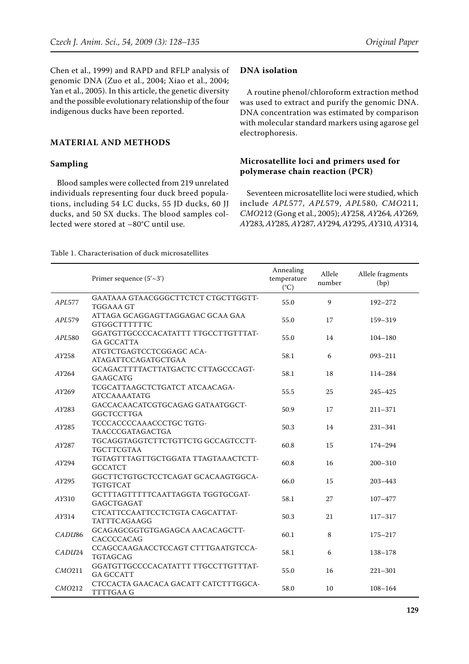Chen et al., 1999) and RAPD and RFLP analysis of genomic DNA (Zuo et al., 2004; Xiao et al., 2004; Yan et al., 2005). In this article, the genetic diversity and the possible evolutionary relationship of the four indigenous ducks have been reported.

# **MATERIAL AND METHODS**

## **Sampling**

Blood samples were collected from 219 unrelated individuals representing four duck breed populations, including 54 LC ducks, 55 JD ducks, 60 JJ ducks, and 50 SX ducks. The blood samples collected were stored at –80°C until use.

## **DNA isolation**

A routine phenol/chloroform extraction method was used to extract and purify the genomic DNA. DNA concentration was estimated by comparison with molecular standard markers using agarose gel electrophoresis.

# **Microsatellite loci and primers used for polymerase chain reaction (PCR)**

Seventeen microsatellite loci were studied, which include *APL*577*, APL*579, *APL*580*, CMO*211*, CMO*212 (Gong et al., 2005); *AY*258*, AY*264*, AY*269*, AY*283*, AY*285*, AY*287*, AY*294*, AY*295*, AY*310*, AY*314*,* 

#### Table 1. Characterisation of duck microsatellites

|                    | Primer sequence $(5'-3')$                                | Annealing<br>temperature<br>$(^{\circ}C)$ | Allele<br>number | Allele fragments<br>(bp) |
|--------------------|----------------------------------------------------------|-------------------------------------------|------------------|--------------------------|
| APL577             | GAATAAA GTAACGGGCTTCTCT CTGCTTGGTT-<br><b>TGGAAA GT</b>  | 55.0                                      | 9                | $192 - 272$              |
| APL579             | ATTAGA GCAGGAGTTAGGAGAC GCAA GAA<br><b>GTGGCTTTTTTC</b>  | 55.0                                      | 17               | 159-319                  |
| APL580             | GGATGTTGCCCCACATATTT TTGCCTTGTTTAT-<br><b>GA GCCATTA</b> | 55.0                                      | 14               | $104 - 180$              |
| AY258              | ATGTCTGAGTCCTCGGAGC ACA-<br>ATAGATTCCAGATGCTGAA          | 58.1                                      | 6                | 093-211                  |
| AY264              | GCAGACTTTTACTTATGACTC CTTAGCCCAGT-<br>GAAGCATG           | 58.1                                      | 18               | 114-284                  |
| AY269              | TCGCATTAAGCTCTGATCT ATCAACAGA-<br><b>ATCCAAAATATG</b>    | 55.5                                      | 25               | $245 - 425$              |
| AY283              | GACCACAACATCGTGCAGAG GATAATGGCT-<br><b>GGCTCCTTGA</b>    | 50.9                                      | 17               | $211 - 371$              |
| AY285              | TCCCACCCCAAACCCTGCTGTG-<br>TAACCCGATAGACTGA              | 50.3                                      | 14               | $231 - 341$              |
| AY287              | TGCAGGTAGGTCTTCTGTTCTG GCCAGTCCTT-<br>TGCTTCGTAA         | 60.8                                      | 15               | 174-294                  |
| AY294              | TGTAGTTTAGTTGCTGGATA TTAGTAAACTCTT-<br><b>GCCATCT</b>    | 60.8                                      | 16               | $200 - 310$              |
| AY295              | GGCTTCTGTGCTCCTCAGAT GCACAAGTGGCA-<br><b>TGTGTCAT</b>    | 66.0                                      | 15               | $203 - 443$              |
| AY310              | GCTTTAGTTTTTCAATTAGGTA TGGTGCGAT-<br>GAGCTGAGAT          | 58.1                                      | 27               | $107 - 477$              |
| AY314              | CTCATTCCAATTCCTCTGTA CAGCATTAT-<br>TATTTCAGAAGG          | 50.3                                      | 21               | $117 - 317$              |
| CADU <sub>86</sub> | GCAGAGCGGTGTGAGAGCA AACACAGCTT-<br>CACCCCACAG            | 60.1                                      | 8                | $175 - 217$              |
| CADU24             | CCAGCCAAGAACCTCCAGT CTTTGAATGTCCA-<br>TGTAGCAG           | 58.1                                      | 6                | $138 - 178$              |
| CMO211             | GGATGTTGCCCCACATATTT TTGCCTTGTTTAT-<br><b>GA GCCATT</b>  | 55.0                                      | 16               | $221 - 301$              |
| CMO <sub>212</sub> | CTCCACTA GAACACA GACATT CATCTTTGGCA-<br><b>TTTTGAAG</b>  | 58.0                                      | 10               | $108 - 164$              |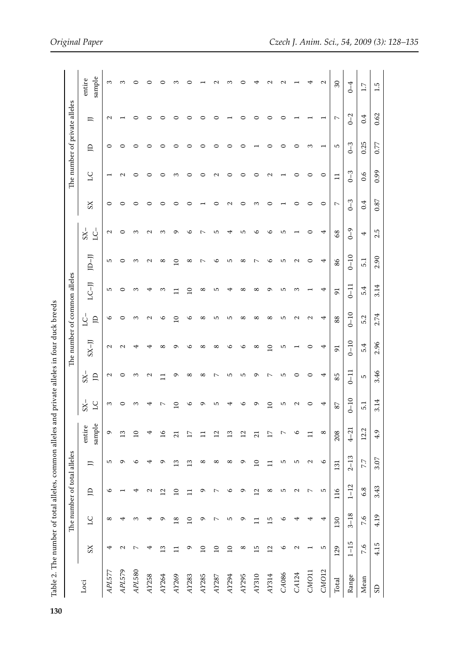| $\ddot{\phantom{a}}$                                                               |
|------------------------------------------------------------------------------------|
| The number of total alleles, common alleles and private alleles in four duck breed |
| $\frac{1}{2}$ is the subset of $\frac{1}{2}$ in the subset of $\frac{1}{2}$        |
|                                                                                    |
|                                                                                    |
|                                                                                    |
|                                                                                    |
| Ī                                                                                  |
|                                                                                    |
| J<br>۱                                                                             |

| Table 2. The number of total alleles, common alleles and private alleles in four duck breeds |                   |                 |                 |                             |                  |                         |                      |                              |                   |                   |                          |                   |                   |                   |         |                               |                    |
|----------------------------------------------------------------------------------------------|-------------------|-----------------|-----------------|-----------------------------|------------------|-------------------------|----------------------|------------------------------|-------------------|-------------------|--------------------------|-------------------|-------------------|-------------------|---------|-------------------------------|--------------------|
|                                                                                              |                   |                 |                 | The number of total alleles |                  |                         |                      | The number of common alleles |                   |                   |                          |                   |                   |                   |         | The number of private alleles |                    |
| Loci                                                                                         | XS                | 57              | $\triangle$     | $\equiv$                    | sample<br>entire | $S_{X-}$<br>$_{\rm LC}$ | $-8S$<br>$\triangle$ | $K-JJ$                       | Ľ<br>$\triangle$  | $\overline{(-1)}$ | JD-JJ                    | $-8S$<br>Š        | XS                | 27                | д       | 戸                             | sample<br>entire   |
| APL577                                                                                       | ₹                 | $^{\circ}$      | $\circ$         | 5                           | Q                | S                       | 2                    | $\mathbf{\Omega}$            | $\circ$           | 5                 | S                        | $\mathbf{\Omega}$ | $\circ$           |                   | 0       | $\mathbf{\sim}$               | S                  |
| APL579                                                                                       | $\mathbf{C}$      | 4               |                 | ᡡ                           | $\overline{13}$  | 0                       | 0                    | $\mathbf{\Omega}$            | $\circ$           | $\circ$           | $\circ$                  | 0                 | 0                 | $\mathbf{\Omega}$ | 0       |                               | S                  |
| APL580                                                                                       | $\sim$            | S               | ₹               | ৩                           | $\overline{10}$  | S                       | S                    | 4                            | S                 | S                 | S                        | S                 | 0                 | c                 | 0       | ⊂                             | 0                  |
| AY258                                                                                        | 4                 | ₹               | $\mathbf{\sim}$ | 4                           | 4                | 4                       | $\mathbf{\sim}$      | 4                            | $\mathbf{\sim}$   | 4                 | $\mathbf{\sim}$          | $\mathbf{\sim}$   | 0                 | c                 | 0       | ⊂                             | 0                  |
| AY264                                                                                        | $\frac{3}{2}$     | G               | 12              | $\sigma$                    | $\overline{16}$  | $\sim$                  | Ξ                    | ${}^{\circ}$                 | $\circ$           | S                 | ${}^{\circ}$             | S                 | ○                 | c                 |         |                               | ○                  |
| AY269                                                                                        | $\Box$            | $\overline{18}$ | $\overline{10}$ | $\frac{3}{2}$               | $\overline{21}$  | $\Omega$                | ᡡ                    | $\sigma$                     | $\Omega$          |                   | $\Omega$                 | Ō                 | ⊂                 | ∞                 |         |                               | S                  |
| AY283                                                                                        | G                 | $\overline{a}$  | $\Box$          | $\frac{3}{2}$               | $\overline{17}$  | $\circ$                 | $^{\circ}$           | $\circ$                      | O                 | $\overline{10}$   | $^{\circ}$               | ७                 | c                 | ⊂                 |         |                               | c                  |
| AY285                                                                                        | $\overline{a}$    | ç               | G               | ${}^{\circ}$                | $\Xi$            | Ō                       | $^{\circ}$           | $^{\circ}$                   | ${}^{\circ}$      | $^{\circ}$        | $\sim$                   | ↖                 |                   | っ                 | c       |                               |                    |
| AY287                                                                                        | $\overline{a}$    | $\overline{ }$  | $\overline{ }$  | $\infty$                    | $\overline{12}$  | ъ                       | $\overline{ }$       | $\infty$                     | 5                 | 5                 | ७                        | Б                 | 0                 | $\mathbf{\sim}$   |         |                               | $\scriptstyle\sim$ |
| AY294                                                                                        | $\overline{10}$   | S               | $\circ$         | ${}^{\circ}$                | $\frac{3}{2}$    | 4                       | 5                    | $\circ$                      | 5                 | 4                 | Б                        | 4                 | $\mathbf{\Omega}$ | ○                 |         |                               | S                  |
| AY295                                                                                        | ${}^{\infty}$     | ç               | $\sigma$        | ç                           | 12               | ৩                       | 5                    | $\circ$                      | ${}^{\circ}$      | $\infty$          | $\infty$                 | S                 | 0                 | 0                 | ⊂       | ⊂                             | 0                  |
| AY310                                                                                        | $\overline{15}$   | $\Box$          | $\overline{12}$ | $\overline{10}$             | $\overline{21}$  | ᡡ                       | Q                    | $^{\circ}$                   | $^{\circ}$        | $^{\circ}$        | $\overline{\phantom{0}}$ | ७                 | S                 | 0                 |         |                               | 4                  |
| AY314                                                                                        | $\overline{2}$    | 15              | $^{\circ}$      | $\Box$                      | $\overline{17}$  | $\overline{a}$          | $\sim$               | $\Omega$                     | ${}^{\circ}$      | ᡡ                 | $\circ$                  | ७                 | 0                 | $\mathbf{\sim}$   | ⊂       | 0                             | $\mathrel{\sim}$   |
| CA086                                                                                        | $\circ$           | $\circ$         | S               | 5                           | $\sim$           | ъ                       | 5                    | 5                            | 5                 | 5                 | 5                        | S                 |                   |                   | 0       | 0                             | $\mathbf{\sim}$    |
| CA124                                                                                        | $\mathbf{\Omega}$ | ᡛ               | $\mathbf{\sim}$ | S                           | P                | $\mathbf{\Omega}$       | $\circ$              |                              | $\mathbf{c}$      | 3                 | $\mathbf{\Omega}$        |                   | ○                 | ⊂                 | 0       |                               |                    |
| CMO11                                                                                        |                   | ₹               | $\sim$          | $\mathbf{\Omega}$           | $\overline{1}$   | 0                       | $\circ$              | $\circ$                      | $\mathbf{\Omega}$ |                   | 0                        | 0                 | 0                 | 0                 | S       |                               | 4                  |
| CMO <sub>12</sub>                                                                            | 5                 | 4               | ъ               | $\circ$                     | $^{\circ}$       | 4                       | 4                    | 4                            | 4                 | 4                 | 4                        | 4                 | $\circ$           | $\circ$           |         |                               | $\mathbf{\Omega}$  |
| Total                                                                                        | 129               | 130             | 116             | 131                         | 208              | $87\,$                  | 85                   | 51                           | 88                | $\overline{5}$    | 86                       | 68                | $\sim$            | $\Box$            | r       | $\sim$                        | $30\,$             |
| Range                                                                                        | $1 - 15$          | $3 - 18$        | $1 - 12$        | $2 - 13$                    | $4 - 21$         | $0 - 10$                | $0 - 11$             | $0 - 10$                     | $0 - 10$          | $0 - 11$          | $0 - 10$                 | $0 - 9$           | $0 - 3$           | $0 - 3$           | $0 - 3$ | $0 - 2$                       | $0 - 4$            |
| Mean                                                                                         | 7.6               | 7.6             | 6.8             | 7.7                         | 12.2             | 5.1                     | S                    | 5.4                          | 5.2               | 5.4               | 5.1                      | 4                 | 0.4               | $\overline{0.6}$  | 0.25    | 0.4                           | $\ddot{1}$         |
| $\overline{S}$                                                                               | 4.15              | 4.19            | 3.43            | 3.07                        | 4.9              | 3.14                    | 3.46                 | 2.96                         | 2.74              | 3.14              | 2.90                     | 2.5               | 0.87              | 0.99              | 0.77    | 0.62                          | 1.5                |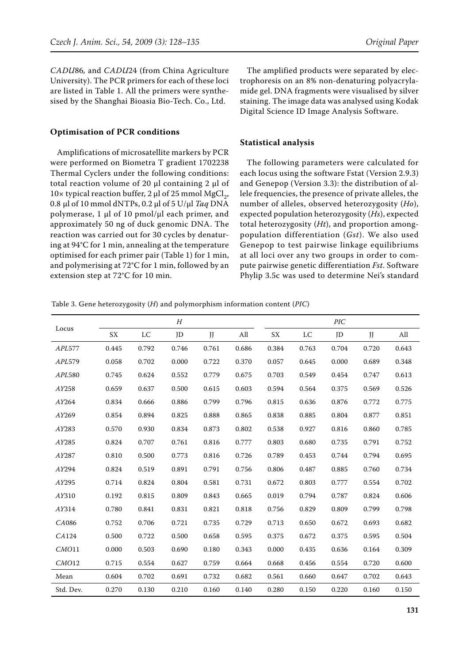*CADU*86*,* and *CADU*24 (from China Agriculture University). The PCR primers for each of these loci are listed in Table 1. All the primers were synthesised by the Shanghai Bioasia Bio-Tech. Co., Ltd.

#### **Optimisation of PCR conditions**

Amplifications of microsatellite markers by PCR were performed on Biometra T gradient 1702238 Thermal Cyclers under the following conditions: total reaction volume of 20 μl containing 2 μl of 10× typical reaction buffer, 2 μl of 25 mmol MgCl<sub>2</sub>, 0.8 μl of 10 mmol dNTPs, 0.2 μl of 5 U/μl *Taq* DNA polymerase, 1 μl of 10 pmol/μl each primer, and approximately 50 ng of duck genomic DNA. The reaction was carried out for 30 cycles by denaturing at 94°C for 1 min, annealing at the temperature optimised for each primer pair (Table 1) for 1 min, and polymerising at 72°C for 1 min, followed by an extension step at 72°C for 10 min.

The amplified products were separated by electrophoresis on an 8% non-denaturing polyacrylamide gel. DNA fragments were visualised by silver staining. The image data was analysed using Kodak Digital Science ID Image Analysis Software.

## **Statistical analysis**

The following parameters were calculated for each locus using the software Fstat (Version 2.9.3) and Genepop (Version 3.3): the distribution of allele frequencies, the presence of private alleles, the number of alleles, observed heterozygosity (*Ho*), expected population heterozygosity (*Hs*), expected total heterozygosity (*Ht*), and proportion amongpopulation differentiation (*Gst*). We also used Genepop to test pairwise linkage equilibriums at all loci over any two groups in order to compute pairwise genetic differentiation *Fst*. Software Phylip 3.5c was used to determine Nei's standard

|           |       |       | H     |       |       |       |       | $\overline{PIC}$ |       |       |
|-----------|-------|-------|-------|-------|-------|-------|-------|------------------|-------|-------|
| Locus     | SX    | LC    | JD    | JJ    | All   | SX    | LC    | JD               | JJ    | All   |
| APL577    | 0.445 | 0.792 | 0.746 | 0.761 | 0.686 | 0.384 | 0.763 | 0.704            | 0.720 | 0.643 |
| APL579    | 0.058 | 0.702 | 0.000 | 0.722 | 0.370 | 0.057 | 0.645 | 0.000            | 0.689 | 0.348 |
| APL580    | 0.745 | 0.624 | 0.552 | 0.779 | 0.675 | 0.703 | 0.549 | 0.454            | 0.747 | 0.613 |
| AY258     | 0.659 | 0.637 | 0.500 | 0.615 | 0.603 | 0.594 | 0.564 | 0.375            | 0.569 | 0.526 |
| AY264     | 0.834 | 0.666 | 0.886 | 0.799 | 0.796 | 0.815 | 0.636 | 0.876            | 0.772 | 0.775 |
| AY269     | 0.854 | 0.894 | 0.825 | 0.888 | 0.865 | 0.838 | 0.885 | 0.804            | 0.877 | 0.851 |
| AY283     | 0.570 | 0.930 | 0.834 | 0.873 | 0.802 | 0.538 | 0.927 | 0.816            | 0.860 | 0.785 |
| AY285     | 0.824 | 0.707 | 0.761 | 0.816 | 0.777 | 0.803 | 0.680 | 0.735            | 0.791 | 0.752 |
| AY287     | 0.810 | 0.500 | 0.773 | 0.816 | 0.726 | 0.789 | 0.453 | 0.744            | 0.794 | 0.695 |
| AY294     | 0.824 | 0.519 | 0.891 | 0.791 | 0.756 | 0.806 | 0.487 | 0.885            | 0.760 | 0.734 |
| AY295     | 0.714 | 0.824 | 0.804 | 0.581 | 0.731 | 0.672 | 0.803 | 0.777            | 0.554 | 0.702 |
| AY310     | 0.192 | 0.815 | 0.809 | 0.843 | 0.665 | 0.019 | 0.794 | 0.787            | 0.824 | 0.606 |
| AY314     | 0.780 | 0.841 | 0.831 | 0.821 | 0.818 | 0.756 | 0.829 | 0.809            | 0.799 | 0.798 |
| CA086     | 0.752 | 0.706 | 0.721 | 0.735 | 0.729 | 0.713 | 0.650 | 0.672            | 0.693 | 0.682 |
| CA124     | 0.500 | 0.722 | 0.500 | 0.658 | 0.595 | 0.375 | 0.672 | 0.375            | 0.595 | 0.504 |
| CMO11     | 0.000 | 0.503 | 0.690 | 0.180 | 0.343 | 0.000 | 0.435 | 0.636            | 0.164 | 0.309 |
| CMO12     | 0.715 | 0.554 | 0.627 | 0.759 | 0.664 | 0.668 | 0.456 | 0.554            | 0.720 | 0.600 |
| Mean      | 0.604 | 0.702 | 0.691 | 0.732 | 0.682 | 0.561 | 0.660 | 0.647            | 0.702 | 0.643 |
| Std. Dev. | 0.270 | 0.130 | 0.210 | 0.160 | 0.140 | 0.280 | 0.150 | 0.220            | 0.160 | 0.150 |

Table 3. Gene heterozygosity (*H*) and polymorphism information content (*PIC*)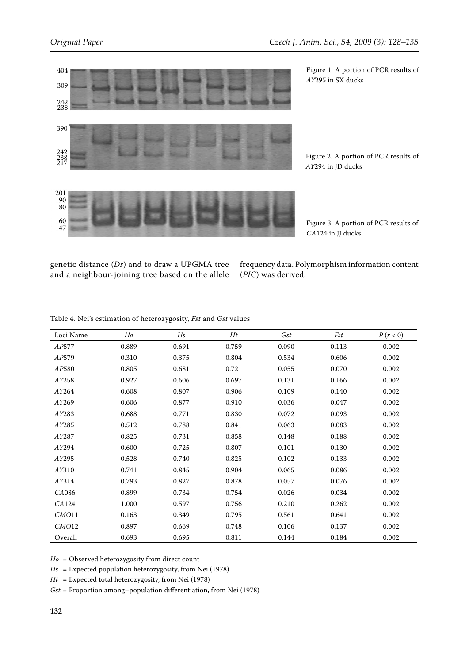*AY*295 in SX ducks





Figure 2. A portion of PCR results of *AY*294 in JD ducks

Figure 3. A portion of PCR results of

Figure 1. A portion of PCR results of

genetic distance (*Ds*) and to draw a UPGMA tree and a neighbour-joining tree based on the allele

frequency data. Polymorphism information content (*PIC*) was derived.

*CA*124 in JJ ducks

| Loci Name | Ho    | Hs    | Ht    | Gst   | Fst   | P(r < 0) |
|-----------|-------|-------|-------|-------|-------|----------|
| AP577     | 0.889 | 0.691 | 0.759 | 0.090 | 0.113 | 0.002    |
| AP579     | 0.310 | 0.375 | 0.804 | 0.534 | 0.606 | 0.002    |
| AP580     | 0.805 | 0.681 | 0.721 | 0.055 | 0.070 | 0.002    |
| AY258     | 0.927 | 0.606 | 0.697 | 0.131 | 0.166 | 0.002    |
| AY264     | 0.608 | 0.807 | 0.906 | 0.109 | 0.140 | 0.002    |
| AY269     | 0.606 | 0.877 | 0.910 | 0.036 | 0.047 | 0.002    |
| AY283     | 0.688 | 0.771 | 0.830 | 0.072 | 0.093 | 0.002    |
| AY285     | 0.512 | 0.788 | 0.841 | 0.063 | 0.083 | 0.002    |
| AY287     | 0.825 | 0.731 | 0.858 | 0.148 | 0.188 | 0.002    |
| AY294     | 0.600 | 0.725 | 0.807 | 0.101 | 0.130 | 0.002    |
| AY295     | 0.528 | 0.740 | 0.825 | 0.102 | 0.133 | 0.002    |
| AY310     | 0.741 | 0.845 | 0.904 | 0.065 | 0.086 | 0.002    |
| AY314     | 0.793 | 0.827 | 0.878 | 0.057 | 0.076 | 0.002    |
| CA086     | 0.899 | 0.734 | 0.754 | 0.026 | 0.034 | 0.002    |
| CA124     | 1.000 | 0.597 | 0.756 | 0.210 | 0.262 | 0.002    |
| CMO11     | 0.163 | 0.349 | 0.795 | 0.561 | 0.641 | 0.002    |
| CMO12     | 0.897 | 0.669 | 0.748 | 0.106 | 0.137 | 0.002    |
| Overall   | 0.693 | 0.695 | 0.811 | 0.144 | 0.184 | 0.002    |

Table 4. Nei's estimation of heterozygosity, *Fst* and *Gst* values

*Ho* = Observed heterozygosity from direct count

*Hs* = Expected population heterozygosity, from Nei (1978)

*Ht* = Expected total heterozygosity, from Nei (1978)

*Gst* = Proportion among–population differentiation, from Nei (1978)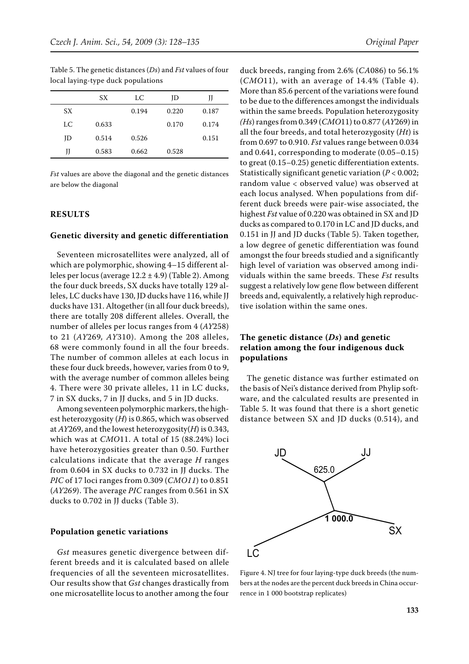Table 5. The genetic distances (*Ds*) and *Fst* values of four local laying-type duck populations

*Fst* values are above the diagonal and the genetic distances are below the diagonal

JD 0.514 0.526 0.151

JJ 0.583 0.662 0.528

#### **RESULTS**

#### **Genetic diversity and genetic differentiation**

Seventeen microsatellites were analyzed, all of which are polymorphic, showing 4–15 different alleles per locus (average  $12.2 \pm 4.9$ ) (Table 2). Among the four duck breeds, SX ducks have totally 129 alleles, LC ducks have 130, JD ducks have 116, while JJ ducks have 131. Altogether (in all four duck breeds), there are totally 208 different alleles. Overall, the number of alleles per locus ranges from 4 (*AY*258) to 21 (*AY*269*, AY*310). Among the 208 alleles, 68 were commonly found in all the four breeds. The number of common alleles at each locus in these four duck breeds, however, varies from 0 to 9, with the average number of common alleles being 4. There were 30 private alleles, 11 in LC ducks, 7 in SX ducks, 7 in JJ ducks, and 5 in JD ducks.

Among seventeen polymorphic markers, the highest heterozygosity (*H*) is 0.865, which was observed at *AY*269, and the lowest heterozygosity(*H*) is 0.343, which was at *CMO*11. A total of 15 (88.24%) loci have heterozygosities greater than 0.50. Further calculations indicate that the average *H* ranges from 0.604 in SX ducks to 0.732 in JJ ducks. The *PIC* of 17 loci ranges from 0.309 (*CMO11*) to 0.851 (*AY269*). The average *PIC* ranges from 0.561 in SX ducks to 0.702 in JJ ducks (Table 3).

## **Population genetic variations**

*Gst* measures genetic divergence between different breeds and it is calculated based on allele frequencies of all the seventeen microsatellites. Our results show that *Gst* changes drastically from one microsatellite locus to another among the four

duck breeds, ranging from 2.6% (*CA*086) to 56.1% (*CMO*11), with an average of 14.4% (Table 4). More than 85.6 percent of the variations were found to be due to the differences amongst the individuals within the same breeds*.* Population heterozygosity *(Hs*) ranges from 0.349 (*CMO*11) to 0.877 (*AY*269) in all the four breeds, and total heterozygosity (*Ht*) is from 0.697 to 0.910. *Fst* values range between 0.034 and 0.641, corresponding to moderate (0.05–0.15) to great (0.15–0.25) genetic differentiation extents. Statistically significant genetic variation (*P* < 0.002; random value < observed value) was observed at each locus analysed. When populations from different duck breeds were pair-wise associated, the highest *Fst* value of 0.220 was obtained in SX and JD ducks as compared to 0.170 in LC and JD ducks, and 0.151 in JJ and JD ducks (Table 5). Taken together, a low degree of genetic differentiation was found amongst the four breeds studied and a significantly high level of variation was observed among individuals within the same breeds. These *Fst* results suggest a relatively low gene flow between different breeds and, equivalently, a relatively high reproductive isolation within the same ones.

# **The genetic distance (***Ds***) and genetic relation among the four indigenous duck populations**

The genetic distance was further estimated on the basis of Nei's distance derived from Phylip software, and the calculated results are presented in Table 5. It was found that there is a short genetic distance between SX and JD ducks (0.514), and



Figure 4. NJ tree for four laying-type duck breeds (the numbers at the nodes are the percent duck breeds in China occurrence in 1 000 bootstrap replicates)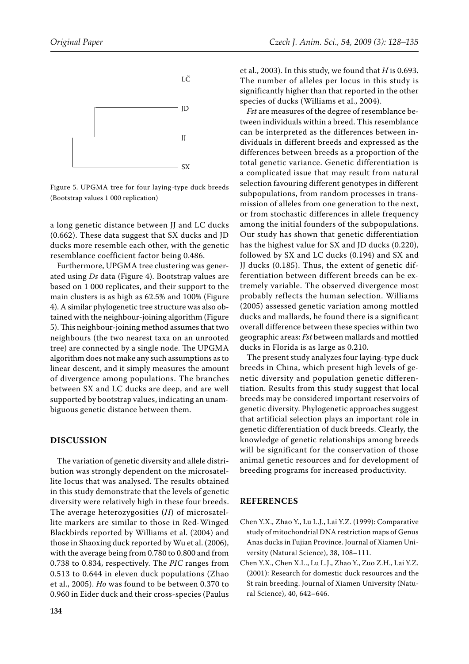

Figure 5. UPGMA tree for four laying-type duck breeds (Bootstrap values 1 000 replication)

a long genetic distance between JJ and LC ducks (0.662). These data suggest that SX ducks and JD ducks more resemble each other, with the genetic resemblance coefficient factor being 0.486.

Furthermore, UPGMA tree clustering was generated using *Ds* data (Figure 4). Bootstrap values are based on 1 000 replicates, and their support to the main clusters is as high as 62.5% and 100% (Figure 4). A similar phylogenetic tree structure was also obtained with the neighbour-joining algorithm (Figure 5). This neighbour-joining method assumes that two neighbours (the two nearest taxa on an unrooted tree) are connected by a single node. The UPGMA algorithm does not make any such assumptions as to linear descent, and it simply measures the amount of divergence among populations. The branches between SX and LC ducks are deep, and are well supported by bootstrap values, indicating an unambiguous genetic distance between them.

# **DISCUSSION**

The variation of genetic diversity and allele distribution was strongly dependent on the microsatellite locus that was analysed. The results obtained in this study demonstrate that the levels of genetic diversity were relatively high in these four breeds. The average heterozygosities (*H*) of microsatellite markers are similar to those in Red-Winged Blackbirds reported by Williams et al. (2004) and those in Shaoxing duck reported by Wu et al. (2006), with the average being from 0.780 to 0.800 and from 0.738 to 0.834, respectively. The *PIC* ranges from 0.513 to 0.644 in eleven duck populations (Zhao et al., 2005). *Ho* was found to be between 0.370 to 0.960 in Eider duck and their cross-species (Paulus

et al., 2003). In this study, we found that *H* is 0.693. The number of alleles per locus in this study is significantly higher than that reported in the other species of ducks (Williams et al., 2004).

*Fst* are measures of the degree of resemblance between individuals within a breed. This resemblance can be interpreted as the differences between individuals in different breeds and expressed as the differences between breeds as a proportion of the total genetic variance. Genetic differentiation is a complicated issue that may result from natural selection favouring different genotypes in different subpopulations, from random processes in transmission of alleles from one generation to the next, or from stochastic differences in allele frequency among the initial founders of the subpopulations. Our study has shown that genetic differentiation has the highest value for SX and JD ducks (0.220), followed by SX and LC ducks (0.194) and SX and JJ ducks (0.185). Thus, the extent of genetic differentiation between different breeds can be extremely variable. The observed divergence most probably reflects the human selection. Williams (2005) assessed genetic variation among mottled ducks and mallards, he found there is a significant overall difference between these species within two geographic areas: *Fst* between mallards and mottled ducks in Florida is as large as 0.210.

The present study analyzes four laying-type duck breeds in China, which present high levels of genetic diversity and population genetic differentiation. Results from this study suggest that local breeds may be considered important reservoirs of genetic diversity. Phylogenetic approaches suggest that artificial selection plays an important role in genetic differentiation of duck breeds. Clearly, the knowledge of genetic relationships among breeds will be significant for the conservation of those animal genetic resources and for development of breeding programs for increased productivity.

#### **REFERENCES**

- Chen Y.X., Zhao Y., Lu L.J., Lai Y.Z. (1999): Comparative study of mitochondrial DNA restriction maps of Genus Anas ducks in Fujian Province. Journal of Xiamen University (Natural Science), 38, 108–111.
- Chen Y.X., Chen X.L., Lu L.J., Zhao Y., Zuo Z.H., Lai Y.Z. (2001): Research for domestic duck resources and the St rain breeding. Journal of Xiamen University (Natural Science), 40, 642–646.